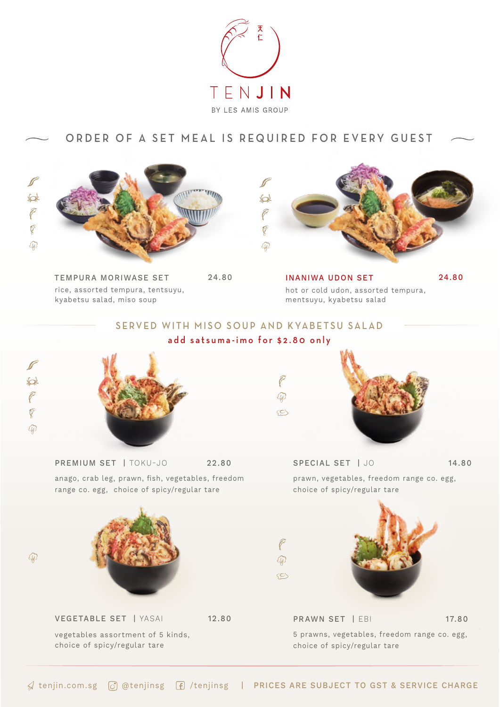

## ORDER OF A SET MEAL IS REQUIRED FOR EVERY GUEST



rice, assorted tempura, tentsuyu, kyabetsu salad, miso soup TEMPURA MORIWASE SET 24.80



hot or cold udon, assorted tempura, mentsuyu, kyabetsu salad INANIWA UDON SET 24.80

## SERVED WITH MISO SOUP AND KYABETSU SALAD add satsuma-imo for \$2.80 only



 $\mathbb{Q}$ 



anago, crab leg, prawn, fish, vegetables, freedom

range co. egg, choice of spicy/regular tare



vegetables assortment of 5 kinds, choice of spicy/regular tare



PREMIUM SET | TOKU-JO 22.80 SPECIAL SET | JO 14.80 prawn, vegetables, freedom range co. egg, choice of spicy/regular tare



5 prawns, vegetables, freedom range co. egg, choice of spicy/regular tare PRAWN SET | EBI 17.80